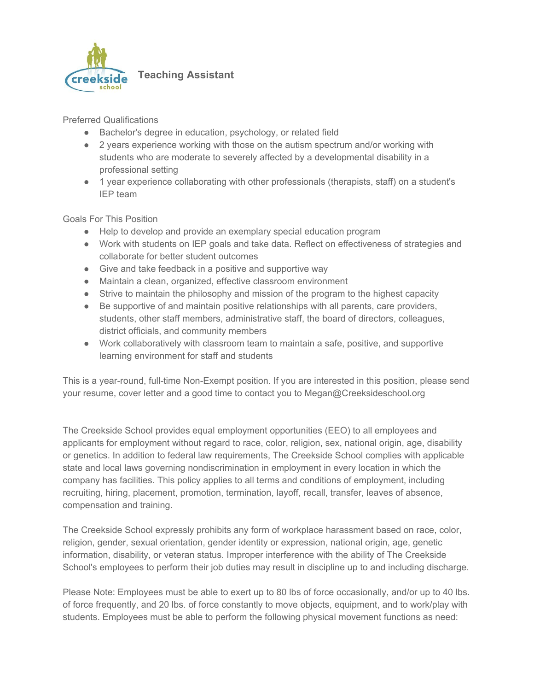

**Teaching Assistant**

Preferred Qualifications

- Bachelor's degree in education, psychology, or related field
- 2 years experience working with those on the autism spectrum and/or working with students who are moderate to severely affected by a developmental disability in a professional setting
- 1 year experience collaborating with other professionals (therapists, staff) on a student's IEP team

## Goals For This Position

- Help to develop and provide an exemplary special education program
- Work with students on IEP goals and take data. Reflect on effectiveness of strategies and collaborate for better student outcomes
- Give and take feedback in a positive and supportive way
- Maintain a clean, organized, effective classroom environment
- Strive to maintain the philosophy and mission of the program to the highest capacity
- Be supportive of and maintain positive relationships with all parents, care providers, students, other staff members, administrative staff, the board of directors, colleagues, district officials, and community members
- Work collaboratively with classroom team to maintain a safe, positive, and supportive learning environment for staff and students

This is a year-round, full-time Non-Exempt position. If you are interested in this position, please send your resume, cover letter and a good time to contact you to Megan@Creeksideschool.org

The Creekside School provides equal employment opportunities (EEO) to all employees and applicants for employment without regard to race, color, religion, sex, national origin, age, disability or genetics. In addition to federal law requirements, The Creekside School complies with applicable state and local laws governing nondiscrimination in employment in every location in which the company has facilities. This policy applies to all terms and conditions of employment, including recruiting, hiring, placement, promotion, termination, layoff, recall, transfer, leaves of absence, compensation and training.

The Creekside School expressly prohibits any form of workplace harassment based on race, color, religion, gender, sexual orientation, gender identity or expression, national origin, age, genetic information, disability, or veteran status. Improper interference with the ability of The Creekside School's employees to perform their job duties may result in discipline up to and including discharge.

Please Note: Employees must be able to exert up to 80 lbs of force occasionally, and/or up to 40 lbs. of force frequently, and 20 lbs. of force constantly to move objects, equipment, and to work/play with students. Employees must be able to perform the following physical movement functions as need: